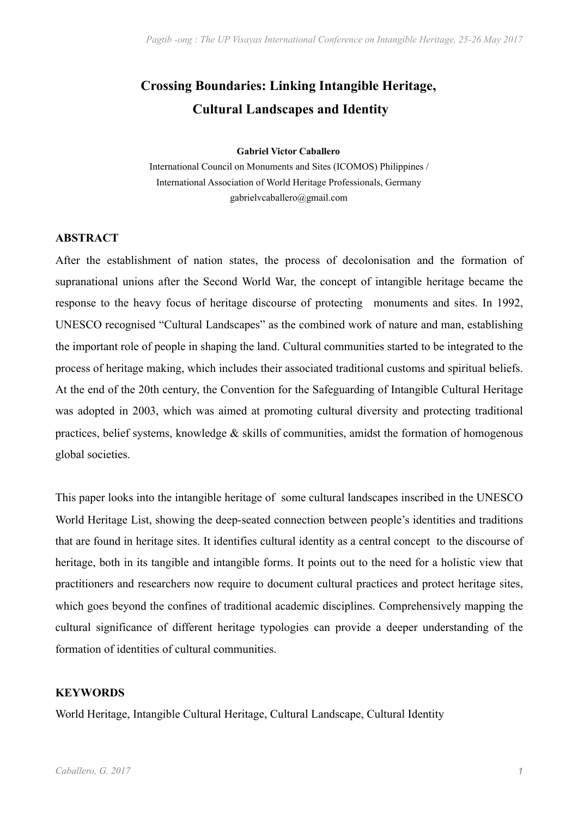# **Crossing Boundaries: Linking Intangible Heritage, Cultural Landscapes and Identity**

#### **Gabriel Victor Caballero**

International Council on Monuments and Sites (ICOMOS) Philippines / International Association of World Heritage Professionals, Germany gabrielvcaballero@gmail.com

# **ABSTRACT**

After the establishment of nation states, the process of decolonisation and the formation of supranational unions after the Second World War, the concept of intangible heritage became the response to the heavy focus of heritage discourse of protecting monuments and sites. In 1992, UNESCO recognised "Cultural Landscapes" as the combined work of nature and man, establishing the important role of people in shaping the land. Cultural communities started to be integrated to the process of heritage making, which includes their associated traditional customs and spiritual beliefs. At the end of the 20th century, the Convention for the Safeguarding of Intangible Cultural Heritage was adopted in 2003, which was aimed at promoting cultural diversity and protecting traditional practices, belief systems, knowledge & skills of communities, amidst the formation of homogenous global societies.

This paper looks into the intangible heritage of some cultural landscapes inscribed in the UNESCO World Heritage List, showing the deep-seated connection between people's identities and traditions that are found in heritage sites. It identifies cultural identity as a central concept to the discourse of heritage, both in its tangible and intangible forms. It points out to the need for a holistic view that practitioners and researchers now require to document cultural practices and protect heritage sites, which goes beyond the confines of traditional academic disciplines. Comprehensively mapping the cultural significance of different heritage typologies can provide a deeper understanding of the formation of identities of cultural communities.

# **KEYWORDS**

World Heritage, Intangible Cultural Heritage, Cultural Landscape, Cultural Identity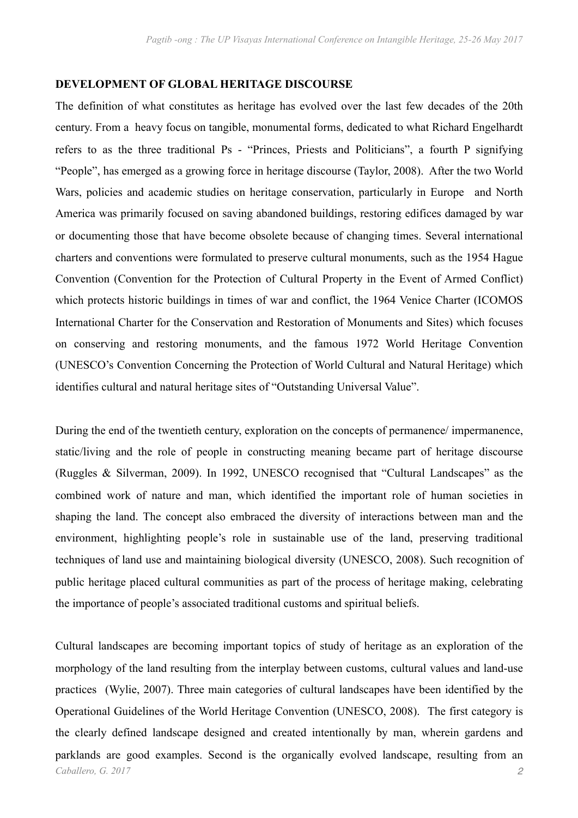# **DEVELOPMENT OF GLOBAL HERITAGE DISCOURSE**

The definition of what constitutes as heritage has evolved over the last few decades of the 20th century. From a heavy focus on tangible, monumental forms, dedicated to what Richard Engelhardt refers to as the three traditional Ps - "Princes, Priests and Politicians", a fourth P signifying "People", has emerged as a growing force in heritage discourse (Taylor, 2008). After the two World Wars, policies and academic studies on heritage conservation, particularly in Europe and North America was primarily focused on saving abandoned buildings, restoring edifices damaged by war or documenting those that have become obsolete because of changing times. Several international charters and conventions were formulated to preserve cultural monuments, such as the 1954 Hague Convention (Convention for the Protection of Cultural Property in the Event of Armed Conflict) which protects historic buildings in times of war and conflict, the 1964 Venice Charter (ICOMOS International Charter for the Conservation and Restoration of Monuments and Sites) which focuses on conserving and restoring monuments, and the famous 1972 World Heritage Convention (UNESCO's Convention Concerning the Protection of World Cultural and Natural Heritage) which identifies cultural and natural heritage sites of "Outstanding Universal Value".

During the end of the twentieth century, exploration on the concepts of permanence/ impermanence, static/living and the role of people in constructing meaning became part of heritage discourse (Ruggles & Silverman, 2009). In 1992, UNESCO recognised that "Cultural Landscapes" as the combined work of nature and man, which identified the important role of human societies in shaping the land. The concept also embraced the diversity of interactions between man and the environment, highlighting people's role in sustainable use of the land, preserving traditional techniques of land use and maintaining biological diversity (UNESCO, 2008). Such recognition of public heritage placed cultural communities as part of the process of heritage making, celebrating the importance of people's associated traditional customs and spiritual beliefs.

Cultural landscapes are becoming important topics of study of heritage as an exploration of the morphology of the land resulting from the interplay between customs, cultural values and land-use practices (Wylie, 2007). Three main categories of cultural landscapes have been identified by the Operational Guidelines of the World Heritage Convention (UNESCO, 2008). The first category is the clearly defined landscape designed and created intentionally by man, wherein gardens and parklands are good examples. Second is the organically evolved landscape, resulting from an *Caballero, G. 2017 2*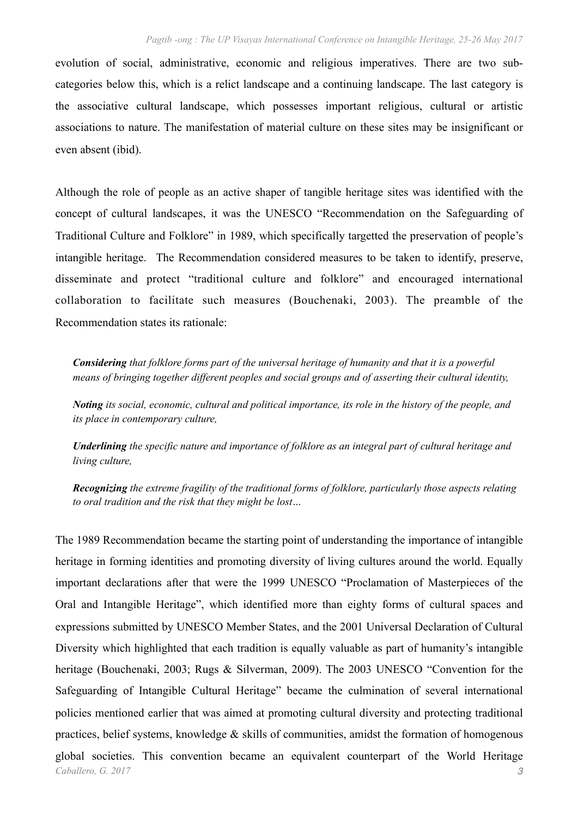evolution of social, administrative, economic and religious imperatives. There are two subcategories below this, which is a relict landscape and a continuing landscape. The last category is the associative cultural landscape, which possesses important religious, cultural or artistic associations to nature. The manifestation of material culture on these sites may be insignificant or even absent (ibid).

Although the role of people as an active shaper of tangible heritage sites was identified with the concept of cultural landscapes, it was the UNESCO "Recommendation on the Safeguarding of Traditional Culture and Folklore" in 1989, which specifically targetted the preservation of people's intangible heritage. The Recommendation considered measures to be taken to identify, preserve, disseminate and protect "traditional culture and folklore" and encouraged international collaboration to facilitate such measures (Bouchenaki, 2003). The preamble of the Recommendation states its rationale:

*Considering that folklore forms part of the universal heritage of humanity and that it is a powerful means of bringing together different peoples and social groups and of asserting their cultural identity,* 

*Noting its social, economic, cultural and political importance, its role in the history of the people, and its place in contemporary culture,* 

*Underlining the specific nature and importance of folklore as an integral part of cultural heritage and living culture,* 

*Recognizing the extreme fragility of the traditional forms of folklore, particularly those aspects relating to oral tradition and the risk that they might be lost…* 

The 1989 Recommendation became the starting point of understanding the importance of intangible heritage in forming identities and promoting diversity of living cultures around the world. Equally important declarations after that were the 1999 UNESCO "Proclamation of Masterpieces of the Oral and Intangible Heritage", which identified more than eighty forms of cultural spaces and expressions submitted by UNESCO Member States, and the 2001 Universal Declaration of Cultural Diversity which highlighted that each tradition is equally valuable as part of humanity's intangible heritage (Bouchenaki, 2003; Rugs & Silverman, 2009). The 2003 UNESCO "Convention for the Safeguarding of Intangible Cultural Heritage" became the culmination of several international policies mentioned earlier that was aimed at promoting cultural diversity and protecting traditional practices, belief systems, knowledge  $\&$  skills of communities, amidst the formation of homogenous global societies. This convention became an equivalent counterpart of the World Heritage *Caballero, G. 2017 3*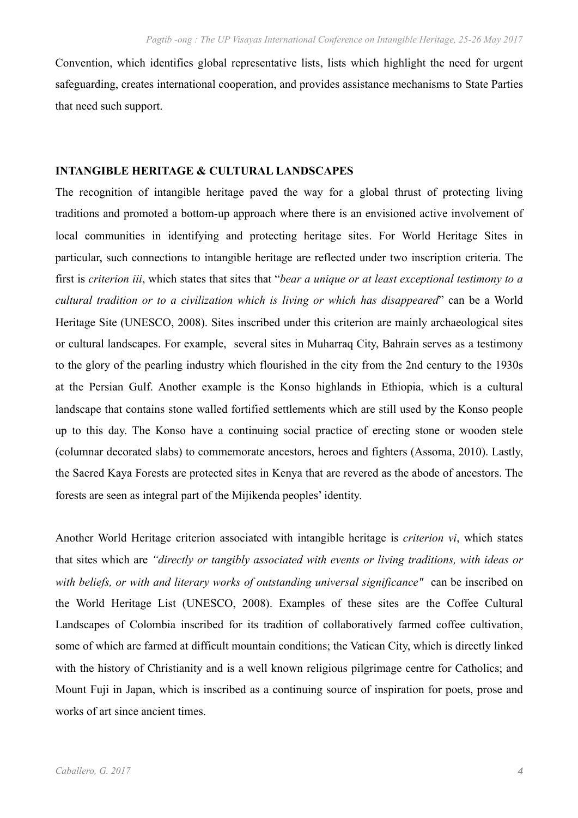Convention, which identifies global representative lists, lists which highlight the need for urgent safeguarding, creates international cooperation, and provides assistance mechanisms to State Parties that need such support.

### **INTANGIBLE HERITAGE & CULTURAL LANDSCAPES**

The recognition of intangible heritage paved the way for a global thrust of protecting living traditions and promoted a bottom-up approach where there is an envisioned active involvement of local communities in identifying and protecting heritage sites. For World Heritage Sites in particular, such connections to intangible heritage are reflected under two inscription criteria. The first is *criterion iii*, which states that sites that "*bear a unique or at least exceptional testimony to a cultural tradition or to a civilization which is living or which has disappeared*" can be a World Heritage Site (UNESCO, 2008). Sites inscribed under this criterion are mainly archaeological sites or cultural landscapes. For example, several sites in Muharraq City, Bahrain serves as a testimony to the glory of the pearling industry which flourished in the city from the 2nd century to the 1930s at the Persian Gulf. Another example is the Konso highlands in Ethiopia, which is a cultural landscape that contains stone walled fortified settlements which are still used by the Konso people up to this day. The Konso have a continuing social practice of erecting stone or wooden stele (columnar decorated slabs) to commemorate ancestors, heroes and fighters (Assoma, 2010). Lastly, the Sacred Kaya Forests are protected sites in Kenya that are revered as the abode of ancestors. The forests are seen as integral part of the Mijikenda peoples' identity.

Another World Heritage criterion associated with intangible heritage is *criterion vi*, which states that sites which are *"directly or tangibly associated with events or living traditions, with ideas or*  with beliefs, or with and literary works of outstanding universal significance" can be inscribed on the World Heritage List (UNESCO, 2008). Examples of these sites are the Coffee Cultural Landscapes of Colombia inscribed for its tradition of collaboratively farmed coffee cultivation, some of which are farmed at difficult mountain conditions; the Vatican City, which is directly linked with the history of Christianity and is a well known religious pilgrimage centre for Catholics; and Mount Fuji in Japan, which is inscribed as a continuing source of inspiration for poets, prose and works of art since ancient times.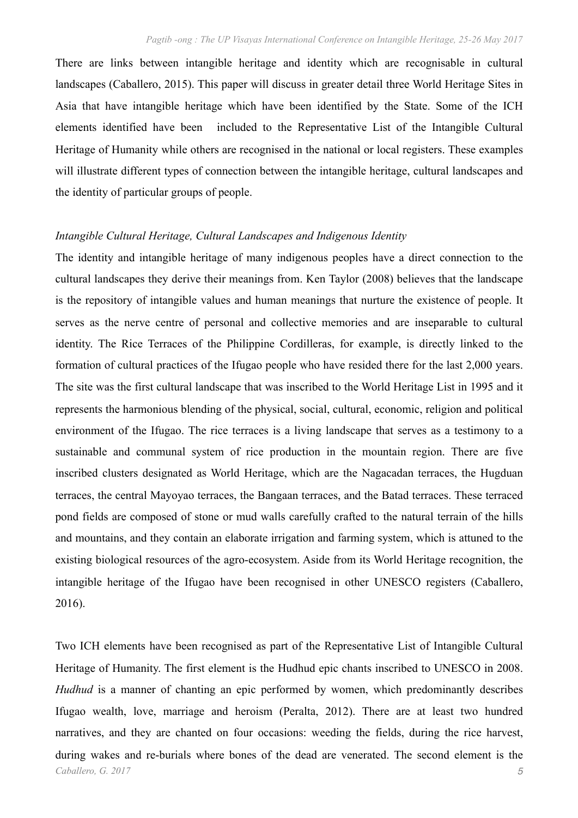There are links between intangible heritage and identity which are recognisable in cultural landscapes (Caballero, 2015). This paper will discuss in greater detail three World Heritage Sites in Asia that have intangible heritage which have been identified by the State. Some of the ICH elements identified have been included to the Representative List of the Intangible Cultural Heritage of Humanity while others are recognised in the national or local registers. These examples will illustrate different types of connection between the intangible heritage, cultural landscapes and the identity of particular groups of people.

#### *Intangible Cultural Heritage, Cultural Landscapes and Indigenous Identity*

The identity and intangible heritage of many indigenous peoples have a direct connection to the cultural landscapes they derive their meanings from. Ken Taylor (2008) believes that the landscape is the repository of intangible values and human meanings that nurture the existence of people. It serves as the nerve centre of personal and collective memories and are inseparable to cultural identity. The Rice Terraces of the Philippine Cordilleras, for example, is directly linked to the formation of cultural practices of the Ifugao people who have resided there for the last 2,000 years. The site was the first cultural landscape that was inscribed to the World Heritage List in 1995 and it represents the harmonious blending of the physical, social, cultural, economic, religion and political environment of the Ifugao. The rice terraces is a living landscape that serves as a testimony to a sustainable and communal system of rice production in the mountain region. There are five inscribed clusters designated as World Heritage, which are the Nagacadan terraces, the Hugduan terraces, the central Mayoyao terraces, the Bangaan terraces, and the Batad terraces. These terraced pond fields are composed of stone or mud walls carefully crafted to the natural terrain of the hills and mountains, and they contain an elaborate irrigation and farming system, which is attuned to the existing biological resources of the agro-ecosystem. Aside from its World Heritage recognition, the intangible heritage of the Ifugao have been recognised in other UNESCO registers (Caballero, 2016).

Two ICH elements have been recognised as part of the Representative List of Intangible Cultural Heritage of Humanity. The first element is the Hudhud epic chants inscribed to UNESCO in 2008. *Hudhud* is a manner of chanting an epic performed by women, which predominantly describes Ifugao wealth, love, marriage and heroism (Peralta, 2012). There are at least two hundred narratives, and they are chanted on four occasions: weeding the fields, during the rice harvest, during wakes and re-burials where bones of the dead are venerated. The second element is the *Caballero, G. 2017 5*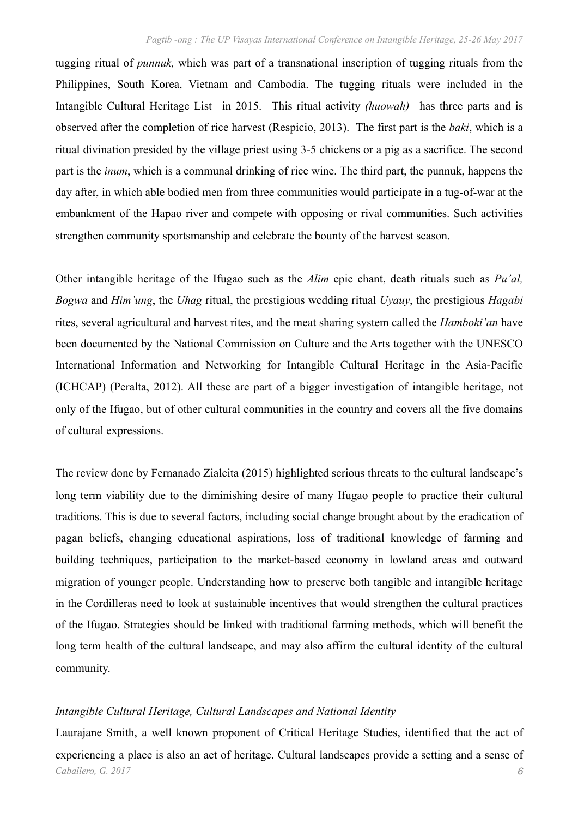tugging ritual of *punnuk,* which was part of a transnational inscription of tugging rituals from the Philippines, South Korea, Vietnam and Cambodia. The tugging rituals were included in the Intangible Cultural Heritage List in 2015. This ritual activity *(huowah)* has three parts and is observed after the completion of rice harvest (Respicio, 2013). The first part is the *baki*, which is a ritual divination presided by the village priest using 3-5 chickens or a pig as a sacrifice. The second part is the *inum*, which is a communal drinking of rice wine. The third part, the punnuk, happens the day after, in which able bodied men from three communities would participate in a tug-of-war at the embankment of the Hapao river and compete with opposing or rival communities. Such activities strengthen community sportsmanship and celebrate the bounty of the harvest season.

Other intangible heritage of the Ifugao such as the *Alim* epic chant, death rituals such as *Pu'al, Bogwa* and *Him'ung*, the *Uhag* ritual, the prestigious wedding ritual *Uyauy*, the prestigious *Hagabi* rites, several agricultural and harvest rites, and the meat sharing system called the *Hamboki'an* have been documented by the National Commission on Culture and the Arts together with the UNESCO International Information and Networking for Intangible Cultural Heritage in the Asia-Pacific (ICHCAP) (Peralta, 2012). All these are part of a bigger investigation of intangible heritage, not only of the Ifugao, but of other cultural communities in the country and covers all the five domains of cultural expressions.

The review done by Fernanado Zialcita (2015) highlighted serious threats to the cultural landscape's long term viability due to the diminishing desire of many Ifugao people to practice their cultural traditions. This is due to several factors, including social change brought about by the eradication of pagan beliefs, changing educational aspirations, loss of traditional knowledge of farming and building techniques, participation to the market-based economy in lowland areas and outward migration of younger people. Understanding how to preserve both tangible and intangible heritage in the Cordilleras need to look at sustainable incentives that would strengthen the cultural practices of the Ifugao. Strategies should be linked with traditional farming methods, which will benefit the long term health of the cultural landscape, and may also affirm the cultural identity of the cultural community.

# *Intangible Cultural Heritage, Cultural Landscapes and National Identity*

Laurajane Smith, a well known proponent of Critical Heritage Studies, identified that the act of experiencing a place is also an act of heritage. Cultural landscapes provide a setting and a sense of *Caballero, G. 2017 6*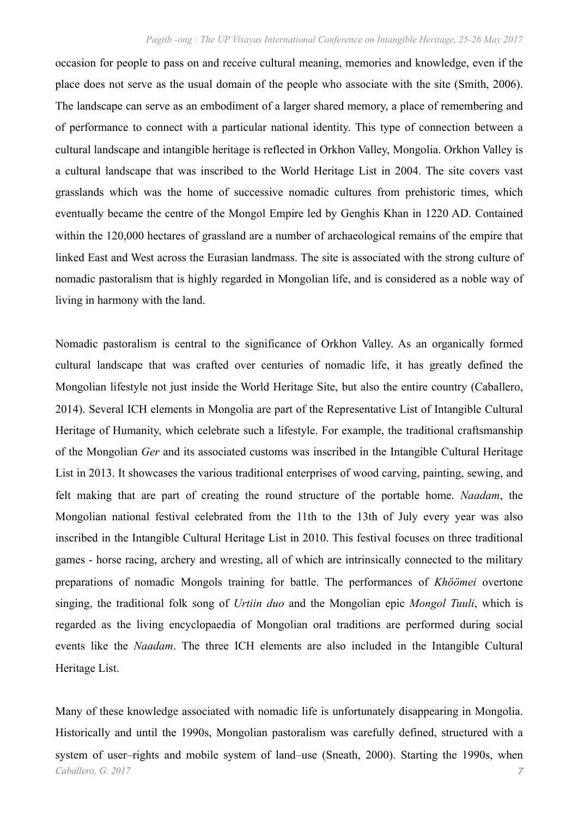occasion for people to pass on and receive cultural meaning, memories and knowledge, even if the place does not serve as the usual domain of the people who associate with the site (Smith, 2006). The landscape can serve as an embodiment of a larger shared memory, a place of remembering and of performance to connect with a particular national identity. This type of connection between a cultural landscape and intangible heritage is reflected in Orkhon Valley, Mongolia. Orkhon Valley is a cultural landscape that was inscribed to the World Heritage List in 2004. The site covers vast grasslands which was the home of successive nomadic cultures from prehistoric times, which eventually became the centre of the Mongol Empire led by Genghis Khan in 1220 AD. Contained within the 120,000 hectares of grassland are a number of archaeological remains of the empire that linked East and West across the Eurasian landmass. The site is associated with the strong culture of nomadic pastoralism that is highly regarded in Mongolian life, and is considered as a noble way of living in harmony with the land.

Nomadic pastoralism is central to the significance of Orkhon Valley. As an organically formed cultural landscape that was crafted over centuries of nomadic life, it has greatly defined the Mongolian lifestyle not just inside the World Heritage Site, but also the entire country (Caballero, 2014). Several ICH elements in Mongolia are part of the Representative List of Intangible Cultural Heritage of Humanity, which celebrate such a lifestyle. For example, the traditional craftsmanship of the Mongolian *Ger* and its associated customs was inscribed in the Intangible Cultural Heritage List in 2013. It showcases the various traditional enterprises of wood carving, painting, sewing, and felt making that are part of creating the round structure of the portable home. *Naadam*, the Mongolian national festival celebrated from the 11th to the 13th of July every year was also inscribed in the Intangible Cultural Heritage List in 2010. This festival focuses on three traditional games - horse racing, archery and wresting, all of which are intrinsically connected to the military preparations of nomadic Mongols training for battle. The performances of *Khöömei* overtone singing, the traditional folk song of *Urtiin duo* and the Mongolian epic *Mongol Tuuli*, which is regarded as the living encyclopaedia of Mongolian oral traditions are performed during social events like the *Naadam*. The three ICH elements are also included in the Intangible Cultural Heritage List.

Many of these knowledge associated with nomadic life is unfortunately disappearing in Mongolia. Historically and until the 1990s, Mongolian pastoralism was carefully defined, structured with a system of user–rights and mobile system of land–use (Sneath, 2000). Starting the 1990s, when *Caballero, G. 2017 7*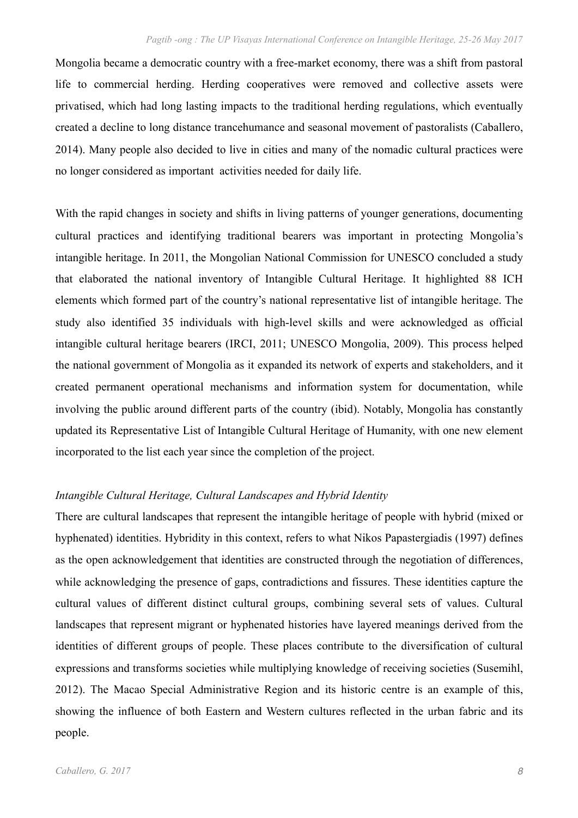Mongolia became a democratic country with a free-market economy, there was a shift from pastoral life to commercial herding. Herding cooperatives were removed and collective assets were privatised, which had long lasting impacts to the traditional herding regulations, which eventually created a decline to long distance trancehumance and seasonal movement of pastoralists (Caballero, 2014). Many people also decided to live in cities and many of the nomadic cultural practices were no longer considered as important activities needed for daily life.

With the rapid changes in society and shifts in living patterns of younger generations, documenting cultural practices and identifying traditional bearers was important in protecting Mongolia's intangible heritage. In 2011, the Mongolian National Commission for UNESCO concluded a study that elaborated the national inventory of Intangible Cultural Heritage. It highlighted 88 ICH elements which formed part of the country's national representative list of intangible heritage. The study also identified 35 individuals with high-level skills and were acknowledged as official intangible cultural heritage bearers (IRCI, 2011; UNESCO Mongolia, 2009). This process helped the national government of Mongolia as it expanded its network of experts and stakeholders, and it created permanent operational mechanisms and information system for documentation, while involving the public around different parts of the country (ibid). Notably, Mongolia has constantly updated its Representative List of Intangible Cultural Heritage of Humanity, with one new element incorporated to the list each year since the completion of the project.

# *Intangible Cultural Heritage, Cultural Landscapes and Hybrid Identity*

There are cultural landscapes that represent the intangible heritage of people with hybrid (mixed or hyphenated) identities. Hybridity in this context, refers to what Nikos Papastergiadis (1997) defines as the open acknowledgement that identities are constructed through the negotiation of differences, while acknowledging the presence of gaps, contradictions and fissures. These identities capture the cultural values of different distinct cultural groups, combining several sets of values. Cultural landscapes that represent migrant or hyphenated histories have layered meanings derived from the identities of different groups of people. These places contribute to the diversification of cultural expressions and transforms societies while multiplying knowledge of receiving societies (Susemihl, 2012). The Macao Special Administrative Region and its historic centre is an example of this, showing the influence of both Eastern and Western cultures reflected in the urban fabric and its people.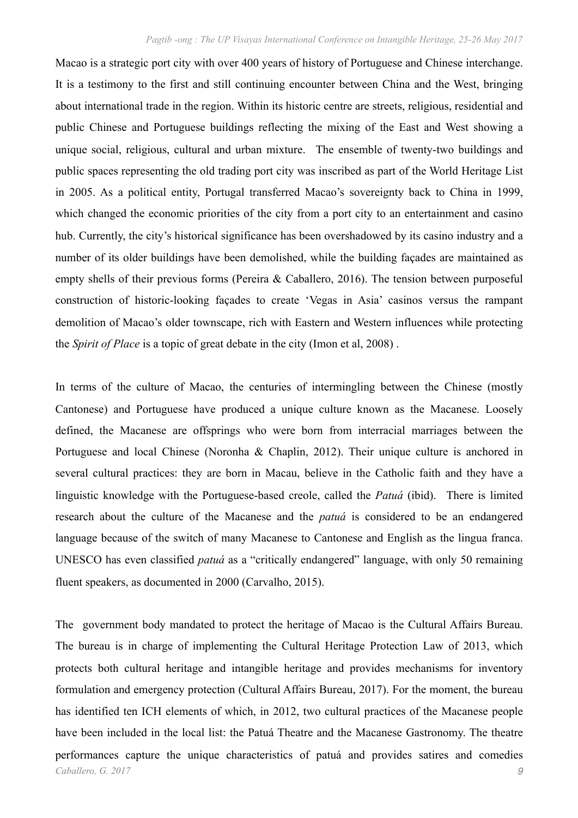Macao is a strategic port city with over 400 years of history of Portuguese and Chinese interchange. It is a testimony to the first and still continuing encounter between China and the West, bringing about international trade in the region. Within its historic centre are streets, religious, residential and public Chinese and Portuguese buildings reflecting the mixing of the East and West showing a unique social, religious, cultural and urban mixture. The ensemble of twenty-two buildings and public spaces representing the old trading port city was inscribed as part of the World Heritage List in 2005. As a political entity, Portugal transferred Macao's sovereignty back to China in 1999, which changed the economic priorities of the city from a port city to an entertainment and casino hub. Currently, the city's historical significance has been overshadowed by its casino industry and a number of its older buildings have been demolished, while the building façades are maintained as empty shells of their previous forms (Pereira & Caballero, 2016). The tension between purposeful construction of historic-looking façades to create 'Vegas in Asia' casinos versus the rampant demolition of Macao's older townscape, rich with Eastern and Western influences while protecting the *Spirit of Place* is a topic of great debate in the city (Imon et al, 2008) .

In terms of the culture of Macao, the centuries of intermingling between the Chinese (mostly Cantonese) and Portuguese have produced a unique culture known as the Macanese. Loosely defined, the Macanese are offsprings who were born from interracial marriages between the Portuguese and local Chinese (Noronha & Chaplin, 2012). Their unique culture is anchored in several cultural practices: they are born in Macau, believe in the Catholic faith and they have a linguistic knowledge with the Portuguese-based creole, called the *Patuá* (ibid). There is limited research about the culture of the Macanese and the *patuá* is considered to be an endangered language because of the switch of many Macanese to Cantonese and English as the lingua franca. UNESCO has even classified *patuá* as a "critically endangered" language, with only 50 remaining fluent speakers, as documented in 2000 (Carvalho, 2015).

The government body mandated to protect the heritage of Macao is the Cultural Affairs Bureau. The bureau is in charge of implementing the Cultural Heritage Protection Law of 2013, which protects both cultural heritage and intangible heritage and provides mechanisms for inventory formulation and emergency protection (Cultural Affairs Bureau, 2017). For the moment, the bureau has identified ten ICH elements of which, in 2012, two cultural practices of the Macanese people have been included in the local list: the Patuá Theatre and the Macanese Gastronomy. The theatre performances capture the unique characteristics of patuá and provides satires and comedies *Caballero, G. 2017 9*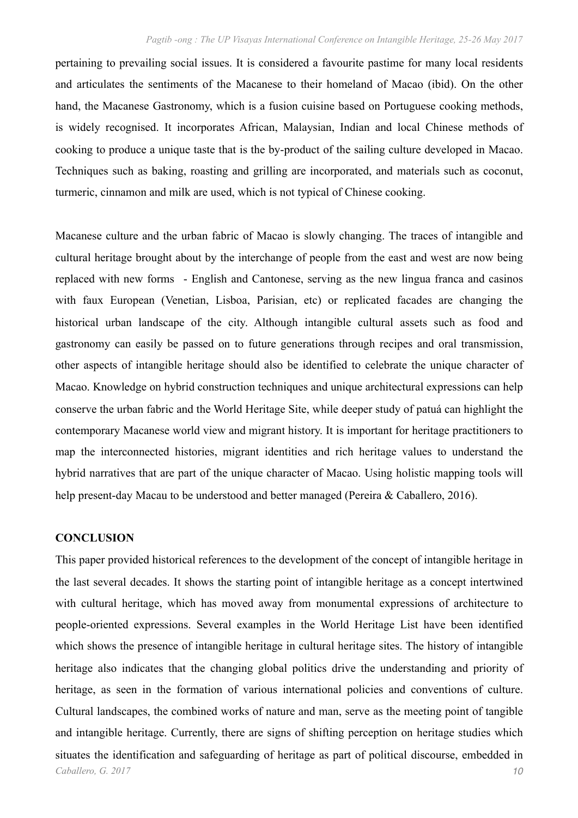pertaining to prevailing social issues. It is considered a favourite pastime for many local residents and articulates the sentiments of the Macanese to their homeland of Macao (ibid). On the other hand, the Macanese Gastronomy, which is a fusion cuisine based on Portuguese cooking methods, is widely recognised. It incorporates African, Malaysian, Indian and local Chinese methods of cooking to produce a unique taste that is the by-product of the sailing culture developed in Macao. Techniques such as baking, roasting and grilling are incorporated, and materials such as coconut, turmeric, cinnamon and milk are used, which is not typical of Chinese cooking.

Macanese culture and the urban fabric of Macao is slowly changing. The traces of intangible and cultural heritage brought about by the interchange of people from the east and west are now being replaced with new forms - English and Cantonese, serving as the new lingua franca and casinos with faux European (Venetian, Lisboa, Parisian, etc) or replicated facades are changing the historical urban landscape of the city. Although intangible cultural assets such as food and gastronomy can easily be passed on to future generations through recipes and oral transmission, other aspects of intangible heritage should also be identified to celebrate the unique character of Macao. Knowledge on hybrid construction techniques and unique architectural expressions can help conserve the urban fabric and the World Heritage Site, while deeper study of patuá can highlight the contemporary Macanese world view and migrant history. It is important for heritage practitioners to map the interconnected histories, migrant identities and rich heritage values to understand the hybrid narratives that are part of the unique character of Macao. Using holistic mapping tools will help present-day Macau to be understood and better managed (Pereira & Caballero, 2016).

# **CONCLUSION**

This paper provided historical references to the development of the concept of intangible heritage in the last several decades. It shows the starting point of intangible heritage as a concept intertwined with cultural heritage, which has moved away from monumental expressions of architecture to people-oriented expressions. Several examples in the World Heritage List have been identified which shows the presence of intangible heritage in cultural heritage sites. The history of intangible heritage also indicates that the changing global politics drive the understanding and priority of heritage, as seen in the formation of various international policies and conventions of culture. Cultural landscapes, the combined works of nature and man, serve as the meeting point of tangible and intangible heritage. Currently, there are signs of shifting perception on heritage studies which situates the identification and safeguarding of heritage as part of political discourse, embedded in *Caballero, G. 2017 10*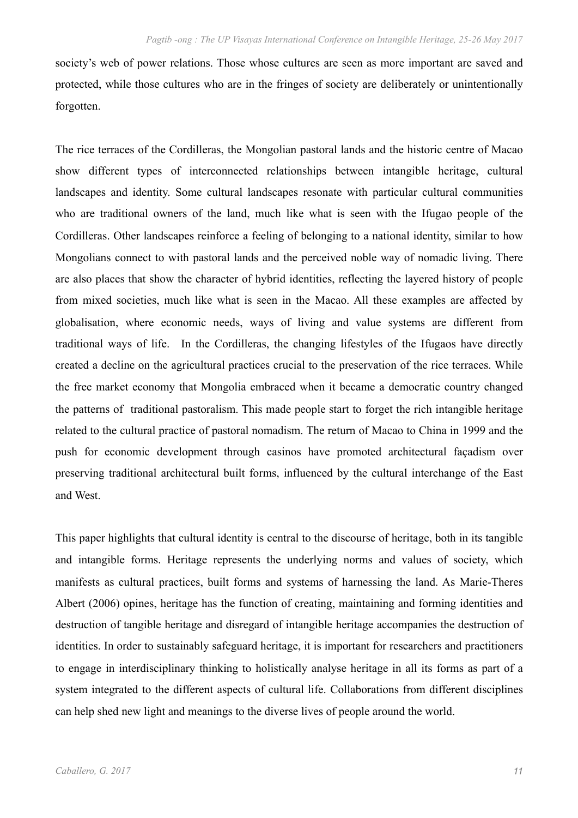society's web of power relations. Those whose cultures are seen as more important are saved and protected, while those cultures who are in the fringes of society are deliberately or unintentionally forgotten.

The rice terraces of the Cordilleras, the Mongolian pastoral lands and the historic centre of Macao show different types of interconnected relationships between intangible heritage, cultural landscapes and identity. Some cultural landscapes resonate with particular cultural communities who are traditional owners of the land, much like what is seen with the Ifugao people of the Cordilleras. Other landscapes reinforce a feeling of belonging to a national identity, similar to how Mongolians connect to with pastoral lands and the perceived noble way of nomadic living. There are also places that show the character of hybrid identities, reflecting the layered history of people from mixed societies, much like what is seen in the Macao. All these examples are affected by globalisation, where economic needs, ways of living and value systems are different from traditional ways of life. In the Cordilleras, the changing lifestyles of the Ifugaos have directly created a decline on the agricultural practices crucial to the preservation of the rice terraces. While the free market economy that Mongolia embraced when it became a democratic country changed the patterns of traditional pastoralism. This made people start to forget the rich intangible heritage related to the cultural practice of pastoral nomadism. The return of Macao to China in 1999 and the push for economic development through casinos have promoted architectural façadism over preserving traditional architectural built forms, influenced by the cultural interchange of the East and West.

This paper highlights that cultural identity is central to the discourse of heritage, both in its tangible and intangible forms. Heritage represents the underlying norms and values of society, which manifests as cultural practices, built forms and systems of harnessing the land. As Marie-Theres Albert (2006) opines, heritage has the function of creating, maintaining and forming identities and destruction of tangible heritage and disregard of intangible heritage accompanies the destruction of identities. In order to sustainably safeguard heritage, it is important for researchers and practitioners to engage in interdisciplinary thinking to holistically analyse heritage in all its forms as part of a system integrated to the different aspects of cultural life. Collaborations from different disciplines can help shed new light and meanings to the diverse lives of people around the world.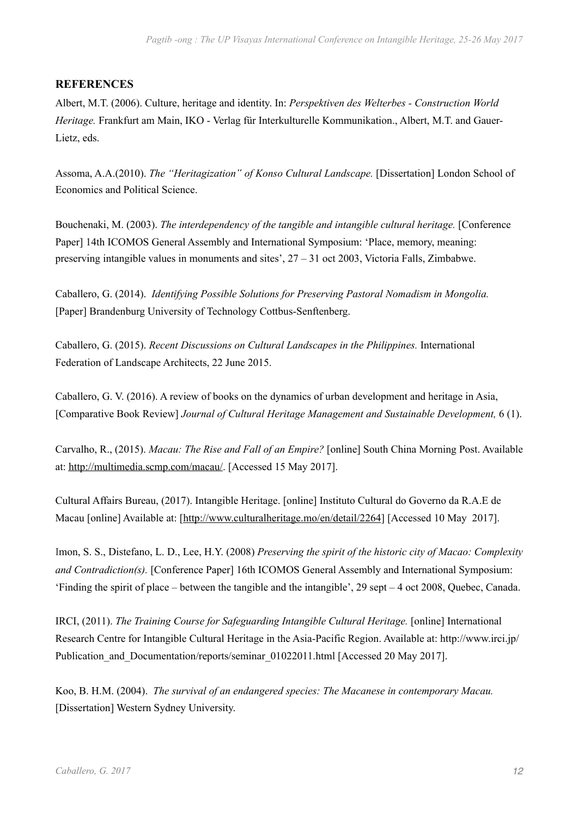# **REFERENCES**

Albert, M.T. (2006). Culture, heritage and identity. In: *Perspektiven des Welterbes - Construction World Heritage.* Frankfurt am Main, IKO - Verlag für Interkulturelle Kommunikation., Albert, M.T. and Gauer-Lietz, eds.

Assoma, A.A.(2010). *The "Heritagization" of Konso Cultural Landscape.* [Dissertation] London School of Economics and Political Science.

Bouchenaki, M. (2003). *The interdependency of the tangible and intangible cultural heritage.* [Conference Paper] 14th ICOMOS General Assembly and International Symposium: 'Place, memory, meaning: preserving intangible values in monuments and sites', 27 – 31 oct 2003, Victoria Falls, Zimbabwe.

Caballero, G. (2014). *Identifying Possible Solutions for Preserving Pastoral Nomadism in Mongolia.*  [Paper] Brandenburg University of Technology Cottbus-Senftenberg.

Caballero, G. (2015). *[Recent Discussions on Cultural Landscapes in the Philippines.](http://iflaonline.org/2015/06/recent-discussions-on-cultural-landscapes-in-the-philippines/)* International Federation of Landscape Architects, 22 June 2015.

Caballero, G. V. (2016). [A review of books on the dynamics of urban development and heritage in Asia](http://www.emeraldinsight.com/doi/full/10.1108/JCHMSD-03-2016-0021), [Comparative Book Review] *Journal of Cultural Heritage Management and Sustainable Development,* 6 (1).

Carvalho, R., (2015). *Macau: The Rise and Fall of an Empire?* [online] South China Morning Post. Available at:<http://multimedia.scmp.com/macau/>. [Accessed 15 May 2017].

Cultural Affairs Bureau, (2017). Intangible Heritage. [online] Instituto Cultural do Governo da R.A.E de Macau [online] Available at: [\[http://www.culturalheritage.mo/en/detail/2264](http://www.culturalheritage.mo/en/detail/2264)] [Accessed 10 May 2017].

Imon, S. S., Distefano, L. D., Lee, H.Y. (2008) *Preserving the spirit of the historic city of Macao: Complexity and Contradiction(s).* [Conference Paper] 16th ICOMOS General Assembly and International Symposium: 'Finding the spirit of place – between the tangible and the intangible', 29 sept – 4 oct 2008, Quebec, Canada.

IRCI, (2011). *The Training Course for Safeguarding Intangible Cultural Heritage.* [online] International Research Centre for Intangible Cultural Heritage in the Asia-Pacific Region. Available at: [http://www.irci.jp/](http://www.irci.jp/Publication_and_Documentation/reports/seminar_01022011.html?searched=mongolia&advsearch=oneword&highlight=ajaxSearch_highlight+ajaxSearch_highlight1) Publication and Documentation/reports/seminar 01022011.html [Accessed 20 May 2017].

Koo, B. H.M. (2004). *The survival of an endangered species: The Macanese in contemporary Macau.* [Dissertation] Western Sydney University.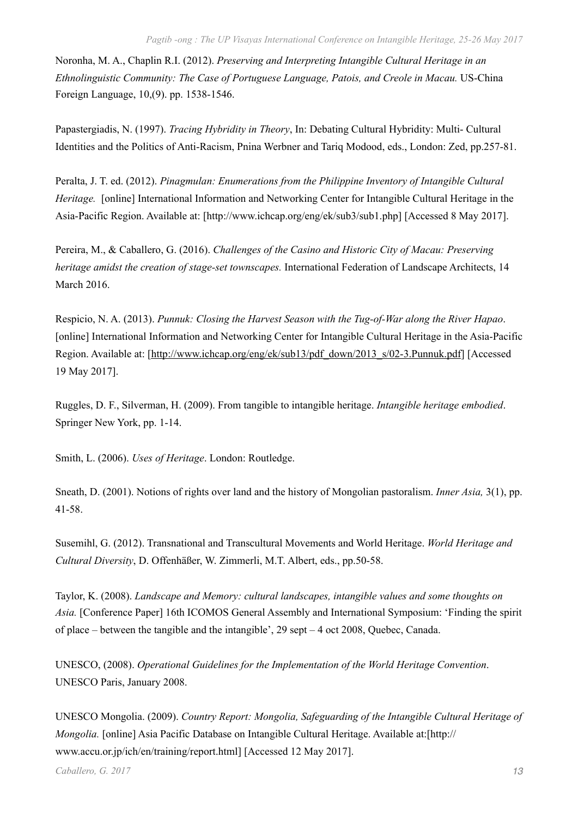Noronha, M. A., Chaplin R.I. (2012). *Preserving and Interpreting Intangible Cultural Heritage in an Ethnolinguistic Community: The Case of Portuguese Language, Patois, and Creole in Macau.* US-China Foreign Language, 10,(9). pp. 1538-1546.

Papastergiadis, N. (1997). *Tracing Hybridity in Theory*, In: Debating Cultural Hybridity: Multi- Cultural Identities and the Politics of Anti-Racism, Pnina Werbner and Tariq Modood, eds., London: Zed, pp.257-81.

Peralta, J. T. ed. (2012). *Pinagmulan: Enumerations from the Philippine Inventory of Intangible Cultural Heritage.* [online] International Information and Networking Center for Intangible Cultural Heritage in the Asia-Pacific Region. Available at: [<http://www.ichcap.org/eng/ek/sub3/sub1.php>] [Accessed 8 May 2017].

Pereira, M., & Caballero, G. (2016). *[Challenges of the Casino and Historic City of Macau: Preserving](http://iflaonline.org/2016/03/challenges-of-the-casino-and-historic-city-of-macau-preserving-heritage-amidst-the-creation-of-stage-set-townscapes/)  [heritage amidst the creation of stage-set townscapes.](http://iflaonline.org/2016/03/challenges-of-the-casino-and-historic-city-of-macau-preserving-heritage-amidst-the-creation-of-stage-set-townscapes/)* International Federation of Landscape Architects, 14 March 2016.

Respicio, N. A. (2013). *Punnuk: Closing the Harvest Season with the Tug-of-War along the River Hapao*. [online] International Information and Networking Center for Intangible Cultural Heritage in the Asia-Pacific Region. Available at: [\[http://www.ichcap.org/eng/ek/sub13/pdf\\_down/2013\\_s/02-3.Punnuk.pdf](http://www.ichcap.org/eng/ek/sub13/pdf_down/2013_s/02-3.Punnuk.pdf)] [Accessed 19 May 2017].

Ruggles, D. F., Silverman, H. (2009). From tangible to intangible heritage. *Intangible heritage embodied*. Springer New York, pp. 1-14.

Smith, L. (2006). *Uses of Heritage*. London: Routledge.

Sneath, D. (2001). Notions of rights over land and the history of Mongolian pastoralism. *Inner Asia,* 3(1), pp. 41-58.

Susemihl, G. (2012). Transnational and Transcultural Movements and World Heritage. *World Heritage and Cultural Diversity*, D. Offenhäßer, W. Zimmerli, M.T. Albert, eds., pp.50-58.

Taylor, K. (2008). *Landscape and Memory: cultural landscapes, intangible values and some thoughts on Asia.* [Conference Paper] 16th ICOMOS General Assembly and International Symposium: 'Finding the spirit of place – between the tangible and the intangible', 29 sept – 4 oct 2008, Quebec, Canada.

UNESCO, (2008). *Operational Guidelines for the Implementation of the World Heritage Convention*. UNESCO Paris, January 2008.

UNESCO Mongolia. (2009). *Country Report: Mongolia, Safeguarding of the Intangible Cultural Heritage of Mongolia.* [online] Asia Pacific Database on Intangible Cultural Heritage. Available at:[\[http://](http://www.accu.or.jp/ich/en/training/report.html) [www.accu.or.jp/ich/en/training/report.html](http://www.accu.or.jp/ich/en/training/report.html)] [Accessed 12 May 2017].

*Caballero, G. 2017 13*